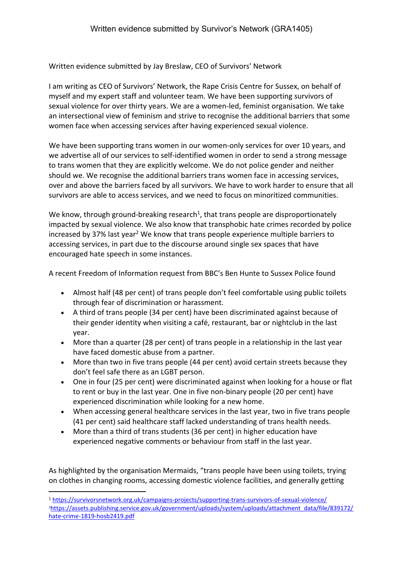Written evidence submitted by Jay Breslaw, CEO of Survivors' Network

I am writing as CEO of Survivors' Network, the Rape Crisis Centre for Sussex, on behalf of myself and my expert staff and volunteer team. We have been supporting survivors of sexual violence for over thirty years. We are a women-led, feminist organisation. We take an intersectional view of feminism and strive to recognise the additional barriers that some women face when accessing services after having experienced sexual violence.

We have been supporting trans women in our women-only services for over 10 years, and we advertise all of our services to self-identified women in order to send a strong message to trans women that they are explicitly welcome. We do not police gender and neither should we. We recognise the additional barriers trans women face in accessing services, over and above the barriers faced by all survivors. We have to work harder to ensure that all survivors are able to access services, and we need to focus on minoritized communities.

We know, through ground-breaking research<sup>1</sup>, that trans people are disproportionately impacted by sexual violence. We also know that transphobic hate crimes recorded by police increased by 37% last year<sup>2</sup> We know that trans people experience multiple barriers to accessing services, in part due to the discourse around single sex spaces that have encouraged hate speech in some instances.

A recent Freedom of Information request from BBC's Ben Hunte to Sussex Police found

- Almost half (48 per cent) of trans people don't feel comfortable using public toilets through fear of discrimination or harassment.
- A third of trans people (34 per cent) have been discriminated against because of their gender identity when visiting a café, restaurant, bar or nightclub in the last year.
- More than a quarter (28 per cent) of trans people in a relationship in the last year have faced domestic abuse from a partner.
- More than two in five trans people (44 per cent) avoid certain streets because they don't feel safe there as an LGBT person.
- One in four (25 per cent) were discriminated against when looking for a house or flat to rent or buy in the last year. One in five non-binary people (20 per cent) have experienced discrimination while looking for a new home.
- When accessing general healthcare services in the last year, two in five trans people (41 per cent) said healthcare staff lacked understanding of trans health needs.
- More than a third of trans students (36 per cent) in higher education have experienced negative comments or behaviour from staff in the last year.

As highlighted by the organisation Mermaids, "trans people have been using toilets, trying on clothes in changing rooms, accessing domestic violence facilities, and generally getting

<sup>1</sup> <https://survivorsnetwork.org.uk/campaigns-projects/supporting-trans-survivors-of-sexual-violence/> <sup>2</sup>[https://assets.publishing.service.gov.uk/government/uploads/system/uploads/attachment\\_data/file/839172/](https://assets.publishing.service.gov.uk/government/uploads/system/uploads/attachment_data/file/839172/hate-crime-1819-hosb2419.pdf) [hate-crime-1819-hosb2419.pdf](https://assets.publishing.service.gov.uk/government/uploads/system/uploads/attachment_data/file/839172/hate-crime-1819-hosb2419.pdf)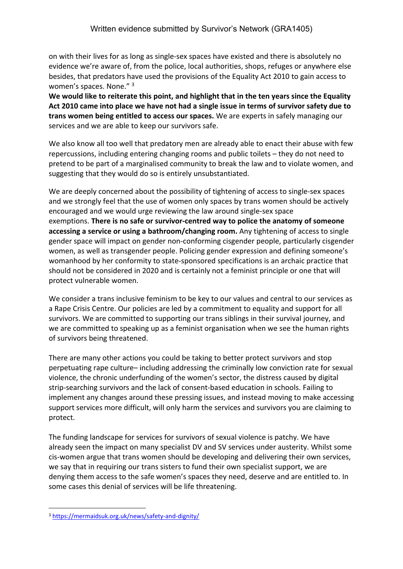on with their lives for as long as single-sex spaces have existed and there is absolutely no evidence we're aware of, from the police, local authorities, shops, refuges or anywhere else besides, that predators have used the provisions of the Equality Act 2010 to gain access to women's spaces. None." <sup>3</sup>

**We would like to reiterate this point, and highlight that in the ten years since the Equality Act 2010 came into place we have not had a single issue in terms of survivor safety due to trans women being entitled to access our spaces.** We are experts in safely managing our services and we are able to keep our survivors safe.

We also know all too well that predatory men are already able to enact their abuse with few repercussions, including entering changing rooms and public toilets – they do not need to pretend to be part of a marginalised community to break the law and to violate women, and suggesting that they would do so is entirely unsubstantiated.

We are deeply concerned about the possibility of tightening of access to single-sex spaces and we strongly feel that the use of women only spaces by trans women should be actively encouraged and we would urge reviewing the law around single-sex space exemptions. **There is no safe or survivor-centred way to police the anatomy of someone accessing a service or using a bathroom/changing room.** Any tightening of access to single gender space will impact on gender non-conforming cisgender people, particularly cisgender women, as well as transgender people. Policing gender expression and defining someone's womanhood by her conformity to state-sponsored specifications is an archaic practice that should not be considered in 2020 and is certainly not a feminist principle or one that will protect vulnerable women.

We consider a trans inclusive feminism to be key to our values and central to our services as a Rape Crisis Centre. Our policies are led by a commitment to equality and support for all survivors. We are committed to supporting our trans siblings in their survival journey, and we are committed to speaking up as a feminist organisation when we see the human rights of survivors being threatened.

There are many other actions you could be taking to better protect survivors and stop perpetuating rape culture– including addressing the criminally low conviction rate for sexual violence, the chronic underfunding of the women's sector, the distress caused by digital strip-searching survivors and the lack of consent-based education in schools. Failing to implement any changes around these pressing issues, and instead moving to make accessing support services more difficult, will only harm the services and survivors you are claiming to protect.

The funding landscape for services for survivors of sexual violence is patchy. We have already seen the impact on many specialist DV and SV services under austerity. Whilst some cis-women argue that trans women should be developing and delivering their own services, we say that in requiring our trans sisters to fund their own specialist support, we are denying them access to the safe women's spaces they need, deserve and are entitled to. In some cases this denial of services will be life threatening.

<sup>3</sup> <https://mermaidsuk.org.uk/news/safety-and-dignity/>